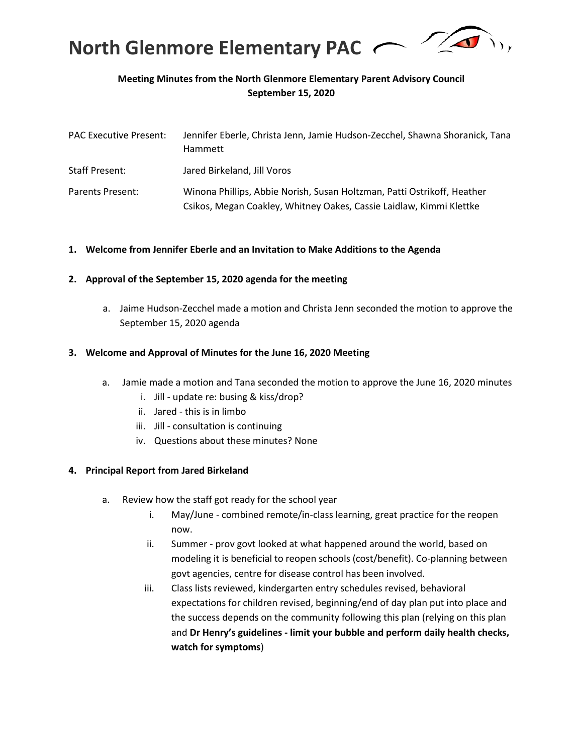

# **Meeting Minutes from the North Glenmore Elementary Parent Advisory Council September 15, 2020**

| <b>PAC Executive Present:</b> | Jennifer Eberle, Christa Jenn, Jamie Hudson-Zecchel, Shawna Shoranick, Tana<br>Hammett                                                         |
|-------------------------------|------------------------------------------------------------------------------------------------------------------------------------------------|
| <b>Staff Present:</b>         | Jared Birkeland, Jill Voros                                                                                                                    |
| Parents Present:              | Winona Phillips, Abbie Norish, Susan Holtzman, Patti Ostrikoff, Heather<br>Csikos, Megan Coakley, Whitney Oakes, Cassie Laidlaw, Kimmi Klettke |

## **1. Welcome from Jennifer Eberle and an Invitation to Make Additions to the Agenda**

## **2. Approval of the September 15, 2020 agenda for the meeting**

a. Jaime Hudson-Zecchel made a motion and Christa Jenn seconded the motion to approve the September 15, 2020 agenda

#### **3. Welcome and Approval of Minutes for the June 16, 2020 Meeting**

- a. Jamie made a motion and Tana seconded the motion to approve the June 16, 2020 minutes
	- i. Jill update re: busing & kiss/drop?
	- ii. Jared this is in limbo
	- iii. Jill consultation is continuing
	- iv. Questions about these minutes? None

## **4. Principal Report from Jared Birkeland**

- a. Review how the staff got ready for the school year
	- i. May/June combined remote/in-class learning, great practice for the reopen now.
	- ii. Summer prov govt looked at what happened around the world, based on modeling it is beneficial to reopen schools (cost/benefit). Co-planning between govt agencies, centre for disease control has been involved.
	- iii. Class lists reviewed, kindergarten entry schedules revised, behavioral expectations for children revised, beginning/end of day plan put into place and the success depends on the community following this plan (relying on this plan and **Dr Henry's guidelines - limit your bubble and perform daily health checks, watch for symptoms**)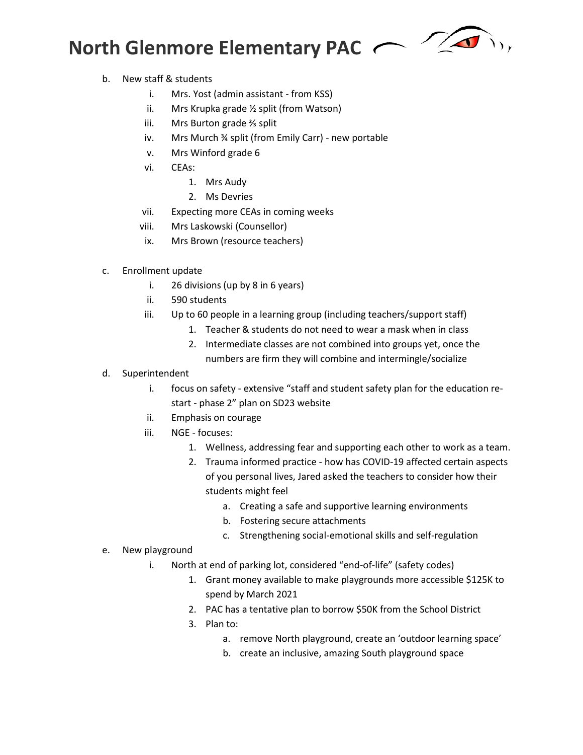# **North Glenmore Elementary PAC**



- b. New staff & students
	- i. Mrs. Yost (admin assistant from KSS)
	- ii. Mrs Krupka grade ½ split (from Watson)
	- iii. Mrs Burton grade ⅔ split
	- iv. Mrs Murch ¾ split (from Emily Carr) new portable
	- v. Mrs Winford grade 6
	- vi. CEAs:
		- 1. Mrs Audy
		- 2. Ms Devries
	- vii. Expecting more CEAs in coming weeks
	- viii. Mrs Laskowski (Counsellor)
	- ix. Mrs Brown (resource teachers)
- c. Enrollment update
	- i. 26 divisions (up by 8 in 6 years)
	- ii. 590 students
	- iii. Up to 60 people in a learning group (including teachers/support staff)
		- 1. Teacher & students do not need to wear a mask when in class
			- 2. Intermediate classes are not combined into groups yet, once the numbers are firm they will combine and intermingle/socialize
- d. Superintendent
	- i. focus on safety extensive "staff and student safety plan for the education restart - phase 2" plan on SD23 website
	- ii. Emphasis on courage
	- iii. NGE focuses:
		- 1. Wellness, addressing fear and supporting each other to work as a team.
		- 2. Trauma informed practice how has COVID-19 affected certain aspects of you personal lives, Jared asked the teachers to consider how their students might feel
			- a. Creating a safe and supportive learning environments
			- b. Fostering secure attachments
			- c. Strengthening social-emotional skills and self-regulation
- e. New playground
	- i. North at end of parking lot, considered "end-of-life" (safety codes)
		- 1. Grant money available to make playgrounds more accessible \$125K to spend by March 2021
			- 2. PAC has a tentative plan to borrow \$50K from the School District
			- 3. Plan to:
				- a. remove North playground, create an 'outdoor learning space'
				- b. create an inclusive, amazing South playground space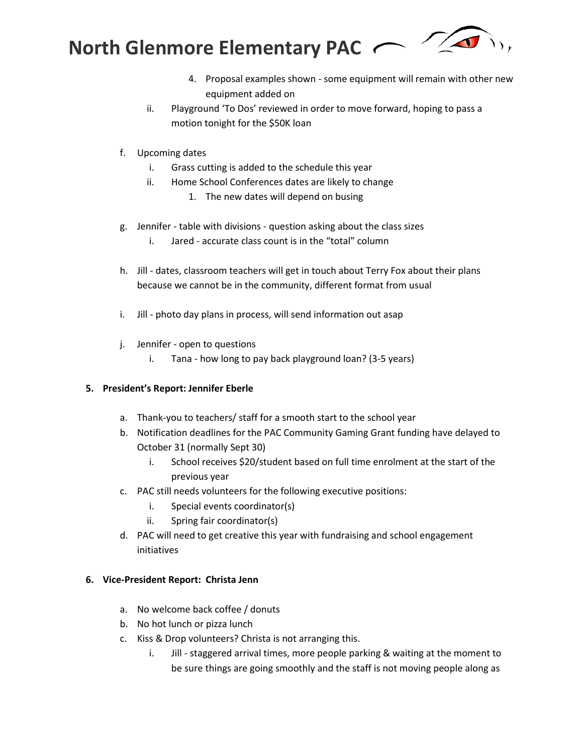

- 4. Proposal examples shown some equipment will remain with other new equipment added on
- ii. Playground 'To Dos' reviewed in order to move forward, hoping to pass a motion tonight for the \$50K loan
- f. Upcoming dates
	- i. Grass cutting is added to the schedule this year
	- ii. Home School Conferences dates are likely to change
		- 1. The new dates will depend on busing
- g. Jennifer table with divisions question asking about the class sizes
	- i. Jared accurate class count is in the "total" column
- h. Jill dates, classroom teachers will get in touch about Terry Fox about their plans because we cannot be in the community, different format from usual
- i. Jill photo day plans in process, will send information out asap
- j. Jennifer open to questions
	- i. Tana how long to pay back playground loan? (3-5 years)

## **5. President's Report: Jennifer Eberle**

- a. Thank-you to teachers/ staff for a smooth start to the school year
- b. Notification deadlines for the PAC Community Gaming Grant funding have delayed to October 31 (normally Sept 30)
	- i. School receives \$20/student based on full time enrolment at the start of the previous year
- c. PAC still needs volunteers for the following executive positions:
	- i. Special events coordinator(s)
	- ii. Spring fair coordinator(s)
- d. PAC will need to get creative this year with fundraising and school engagement initiatives

## **6. Vice-President Report: Christa Jenn**

- a. No welcome back coffee / donuts
- b. No hot lunch or pizza lunch
- c. Kiss & Drop volunteers? Christa is not arranging this.
	- i. Jill staggered arrival times, more people parking & waiting at the moment to be sure things are going smoothly and the staff is not moving people along as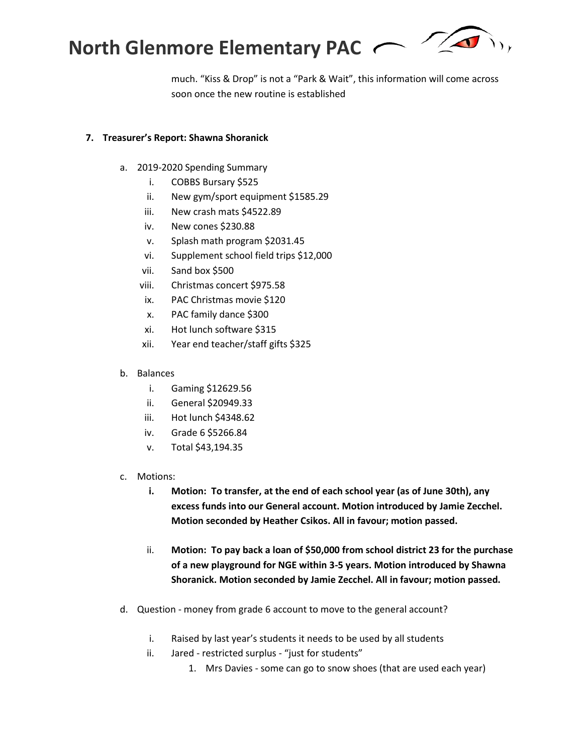

much. "Kiss & Drop" is not a "Park & Wait", this information will come across soon once the new routine is established

## **7. Treasurer's Report: Shawna Shoranick**

- a. 2019-2020 Spending Summary
	- i. COBBS Bursary \$525
	- ii. New gym/sport equipment \$1585.29
	- iii. New crash mats \$4522.89
	- iv. New cones \$230.88
	- v. Splash math program \$2031.45
	- vi. Supplement school field trips \$12,000
	- vii. Sand box \$500
	- viii. Christmas concert \$975.58
	- ix. PAC Christmas movie \$120
	- x. PAC family dance \$300
	- xi. Hot lunch software \$315
	- xii. Year end teacher/staff gifts \$325
- b. Balances
	- i. Gaming \$12629.56
	- ii. General \$20949.33
	- iii. Hot lunch \$4348.62
	- iv. Grade 6 \$5266.84
	- v. Total \$43,194.35
- c. Motions:
	- **i. Motion: To transfer, at the end of each school year (as of June 30th), any excess funds into our General account. Motion introduced by Jamie Zecchel. Motion seconded by Heather Csikos. All in favour; motion passed.**
	- ii. **Motion: To pay back a loan of \$50,000 from school district 23 for the purchase of a new playground for NGE within 3-5 years. Motion introduced by Shawna Shoranick. Motion seconded by Jamie Zecchel. All in favour; motion passed.**
- d. Question money from grade 6 account to move to the general account?
	- i. Raised by last year's students it needs to be used by all students
	- ii. Jared restricted surplus "just for students"
		- 1. Mrs Davies some can go to snow shoes (that are used each year)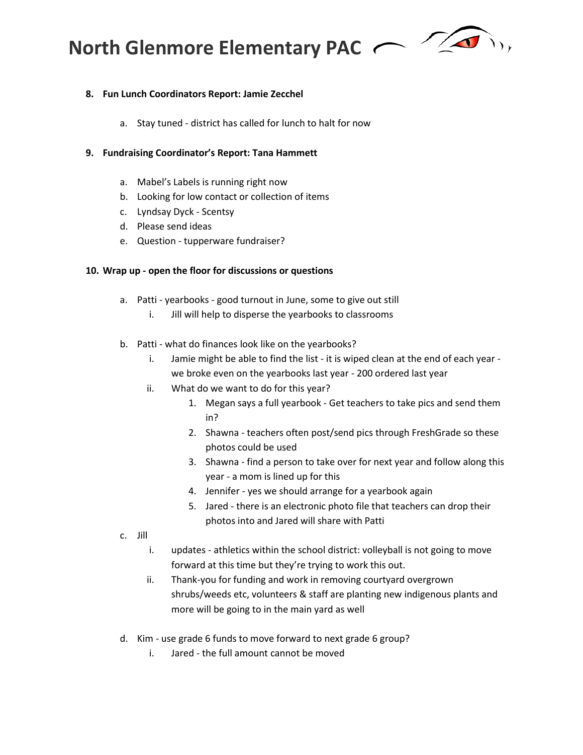**North Glenmore Elementary PAC** 



# **8. Fun Lunch Coordinators Report: Jamie Zecchel**

a. Stay tuned - district has called for lunch to halt for now

# **9. Fundraising Coordinator's Report: Tana Hammett**

- a. Mabel's Labels is running right now
- b. Looking for low contact or collection of items
- c. Lyndsay Dyck Scentsy
- d. Please send ideas
- e. Question tupperware fundraiser?

# **10. Wrap up - open the floor for discussions or questions**

- a. Patti yearbooks good turnout in June, some to give out still
	- i. Jill will help to disperse the yearbooks to classrooms
- b. Patti what do finances look like on the yearbooks?
	- i. Jamie might be able to find the list it is wiped clean at the end of each year we broke even on the yearbooks last year - 200 ordered last year
	- ii. What do we want to do for this year?
		- 1. Megan says a full yearbook Get teachers to take pics and send them in?
		- 2. Shawna teachers often post/send pics through FreshGrade so these photos could be used
		- 3. Shawna find a person to take over for next year and follow along this year - a mom is lined up for this
		- 4. Jennifer yes we should arrange for a yearbook again
		- 5. Jared there is an electronic photo file that teachers can drop their photos into and Jared will share with Patti
- c. Jill
	- i. updates athletics within the school district: volleyball is not going to move forward at this time but they're trying to work this out.
	- ii. Thank-you for funding and work in removing courtyard overgrown shrubs/weeds etc, volunteers & staff are planting new indigenous plants and more will be going to in the main yard as well
- d. Kim use grade 6 funds to move forward to next grade 6 group?
	- i. Jared the full amount cannot be moved